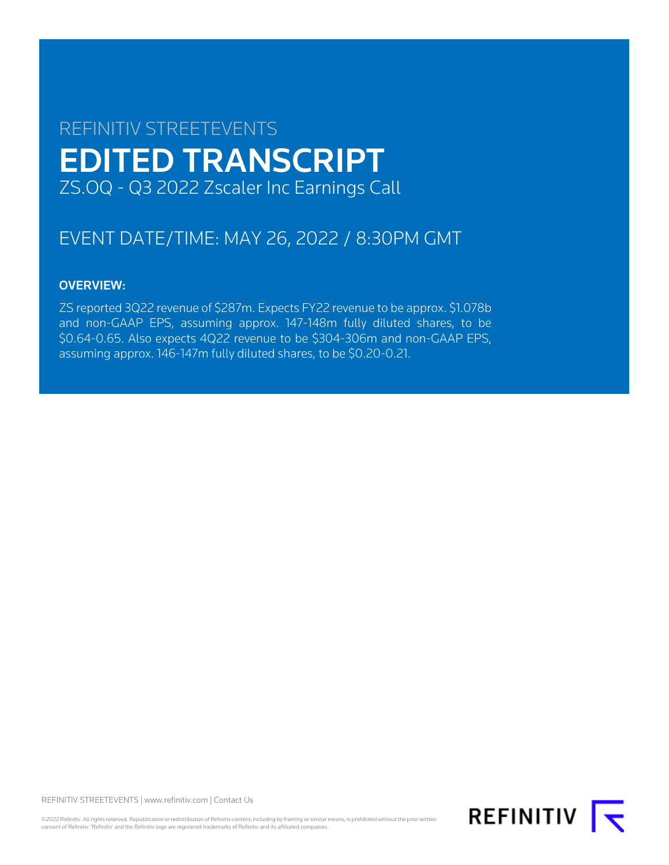# REFINITIV STREETEVENTS EDITED TRANSCRIPT ZS.OQ - Q3 2022 Zscaler Inc Earnings Call

# EVENT DATE/TIME: MAY 26, 2022 / 8:30PM GMT

# OVERVIEW:

ZS reported 3Q22 revenue of \$287m. Expects FY22 revenue to be approx. \$1.078b and non-GAAP EPS, assuming approx. 147-148m fully diluted shares, to be \$0.64-0.65. Also expects 4Q22 revenue to be \$304-306m and non-GAAP EPS, assuming approx. 146-147m fully diluted shares, to be \$0.20-0.21.

REFINITIV STREETEVENTS | [www.refinitiv.com](https://www.refinitiv.com/) | [Contact Us](https://www.refinitiv.com/en/contact-us)

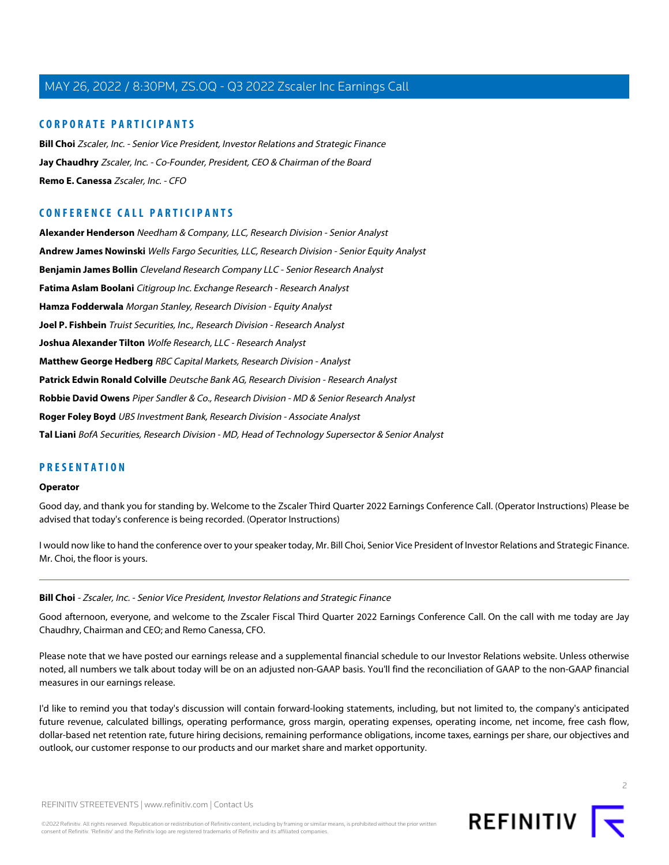# **CORPORATE PARTICIPANTS**

**[Bill Choi](#page-1-0)** Zscaler, Inc. - Senior Vice President, Investor Relations and Strategic Finance **[Jay Chaudhry](#page-2-0)** Zscaler, Inc. - Co-Founder, President, CEO & Chairman of the Board **[Remo E. Canessa](#page-5-0)** Zscaler, Inc. - CFO

# **CONFERENCE CALL PARTICIPANTS**

**[Alexander Henderson](#page-7-0)** Needham & Company, LLC, Research Division - Senior Analyst **[Andrew James Nowinski](#page-6-0)** Wells Fargo Securities, LLC, Research Division - Senior Equity Analyst **[Benjamin James Bollin](#page-12-0)** Cleveland Research Company LLC - Senior Research Analyst **[Fatima Aslam Boolani](#page-11-0)** Citigroup Inc. Exchange Research - Research Analyst **[Hamza Fodderwala](#page-8-0)** Morgan Stanley, Research Division - Equity Analyst **[Joel P. Fishbein](#page-10-0)** Truist Securities, Inc., Research Division - Research Analyst **[Joshua Alexander Tilton](#page-14-0)** Wolfe Research, LLC - Research Analyst **[Matthew George Hedberg](#page-9-0)** RBC Capital Markets, Research Division - Analyst **[Patrick Edwin Ronald Colville](#page-10-1)** Deutsche Bank AG, Research Division - Research Analyst **[Robbie David Owens](#page-14-1)** Piper Sandler & Co., Research Division - MD & Senior Research Analyst **[Roger Foley Boyd](#page-14-2)** UBS Investment Bank, Research Division - Associate Analyst **[Tal Liani](#page-12-1)** BofA Securities, Research Division - MD, Head of Technology Supersector & Senior Analyst

# **PRESENTATION**

#### **Operator**

Good day, and thank you for standing by. Welcome to the Zscaler Third Quarter 2022 Earnings Conference Call. (Operator Instructions) Please be advised that today's conference is being recorded. (Operator Instructions)

<span id="page-1-0"></span>I would now like to hand the conference over to your speaker today, Mr. Bill Choi, Senior Vice President of Investor Relations and Strategic Finance. Mr. Choi, the floor is yours.

#### **Bill Choi** - Zscaler, Inc. - Senior Vice President, Investor Relations and Strategic Finance

Good afternoon, everyone, and welcome to the Zscaler Fiscal Third Quarter 2022 Earnings Conference Call. On the call with me today are Jay Chaudhry, Chairman and CEO; and Remo Canessa, CFO.

Please note that we have posted our earnings release and a supplemental financial schedule to our Investor Relations website. Unless otherwise noted, all numbers we talk about today will be on an adjusted non-GAAP basis. You'll find the reconciliation of GAAP to the non-GAAP financial measures in our earnings release.

I'd like to remind you that today's discussion will contain forward-looking statements, including, but not limited to, the company's anticipated future revenue, calculated billings, operating performance, gross margin, operating expenses, operating income, net income, free cash flow, dollar-based net retention rate, future hiring decisions, remaining performance obligations, income taxes, earnings per share, our objectives and outlook, our customer response to our products and our market share and market opportunity.

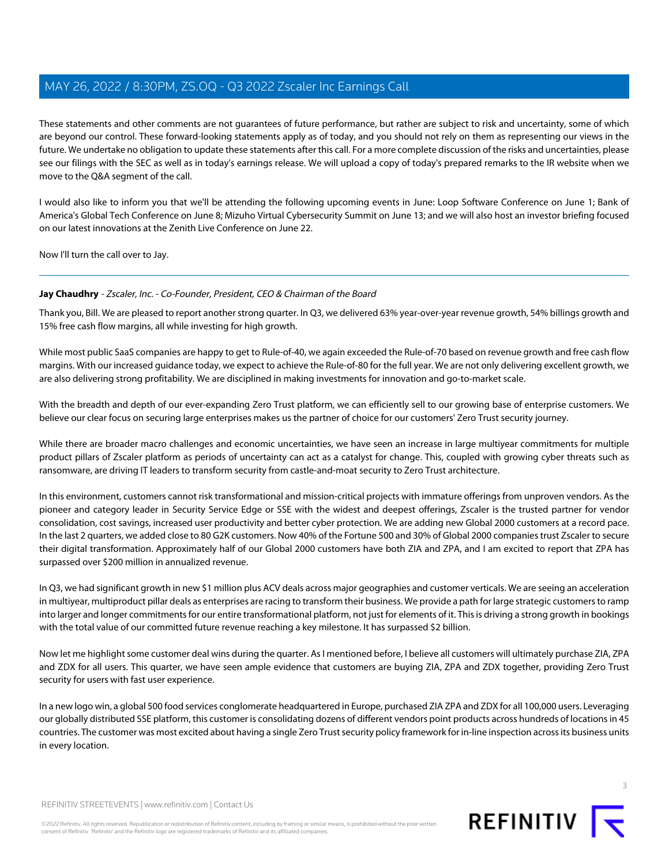These statements and other comments are not guarantees of future performance, but rather are subject to risk and uncertainty, some of which are beyond our control. These forward-looking statements apply as of today, and you should not rely on them as representing our views in the future. We undertake no obligation to update these statements after this call. For a more complete discussion of the risks and uncertainties, please see our filings with the SEC as well as in today's earnings release. We will upload a copy of today's prepared remarks to the IR website when we move to the Q&A segment of the call.

I would also like to inform you that we'll be attending the following upcoming events in June: Loop Software Conference on June 1; Bank of America's Global Tech Conference on June 8; Mizuho Virtual Cybersecurity Summit on June 13; and we will also host an investor briefing focused on our latest innovations at the Zenith Live Conference on June 22.

<span id="page-2-0"></span>Now I'll turn the call over to Jay.

# **Jay Chaudhry** - Zscaler, Inc. - Co-Founder, President, CEO & Chairman of the Board

Thank you, Bill. We are pleased to report another strong quarter. In Q3, we delivered 63% year-over-year revenue growth, 54% billings growth and 15% free cash flow margins, all while investing for high growth.

While most public SaaS companies are happy to get to Rule-of-40, we again exceeded the Rule-of-70 based on revenue growth and free cash flow margins. With our increased guidance today, we expect to achieve the Rule-of-80 for the full year. We are not only delivering excellent growth, we are also delivering strong profitability. We are disciplined in making investments for innovation and go-to-market scale.

With the breadth and depth of our ever-expanding Zero Trust platform, we can efficiently sell to our growing base of enterprise customers. We believe our clear focus on securing large enterprises makes us the partner of choice for our customers' Zero Trust security journey.

While there are broader macro challenges and economic uncertainties, we have seen an increase in large multiyear commitments for multiple product pillars of Zscaler platform as periods of uncertainty can act as a catalyst for change. This, coupled with growing cyber threats such as ransomware, are driving IT leaders to transform security from castle-and-moat security to Zero Trust architecture.

In this environment, customers cannot risk transformational and mission-critical projects with immature offerings from unproven vendors. As the pioneer and category leader in Security Service Edge or SSE with the widest and deepest offerings, Zscaler is the trusted partner for vendor consolidation, cost savings, increased user productivity and better cyber protection. We are adding new Global 2000 customers at a record pace. In the last 2 quarters, we added close to 80 G2K customers. Now 40% of the Fortune 500 and 30% of Global 2000 companies trust Zscaler to secure their digital transformation. Approximately half of our Global 2000 customers have both ZIA and ZPA, and I am excited to report that ZPA has surpassed over \$200 million in annualized revenue.

In Q3, we had significant growth in new \$1 million plus ACV deals across major geographies and customer verticals. We are seeing an acceleration in multiyear, multiproduct pillar deals as enterprises are racing to transform their business. We provide a path for large strategic customers to ramp into larger and longer commitments for our entire transformational platform, not just for elements of it. This is driving a strong growth in bookings with the total value of our committed future revenue reaching a key milestone. It has surpassed \$2 billion.

Now let me highlight some customer deal wins during the quarter. As I mentioned before, I believe all customers will ultimately purchase ZIA, ZPA and ZDX for all users. This quarter, we have seen ample evidence that customers are buying ZIA, ZPA and ZDX together, providing Zero Trust security for users with fast user experience.

In a new logo win, a global 500 food services conglomerate headquartered in Europe, purchased ZIA ZPA and ZDX for all 100,000 users. Leveraging our globally distributed SSE platform, this customer is consolidating dozens of different vendors point products across hundreds of locations in 45 countries. The customer was most excited about having a single Zero Trust security policy framework for in-line inspection across its business units in every location.

REFINITIV STREETEVENTS | [www.refinitiv.com](https://www.refinitiv.com/) | [Contact Us](https://www.refinitiv.com/en/contact-us)



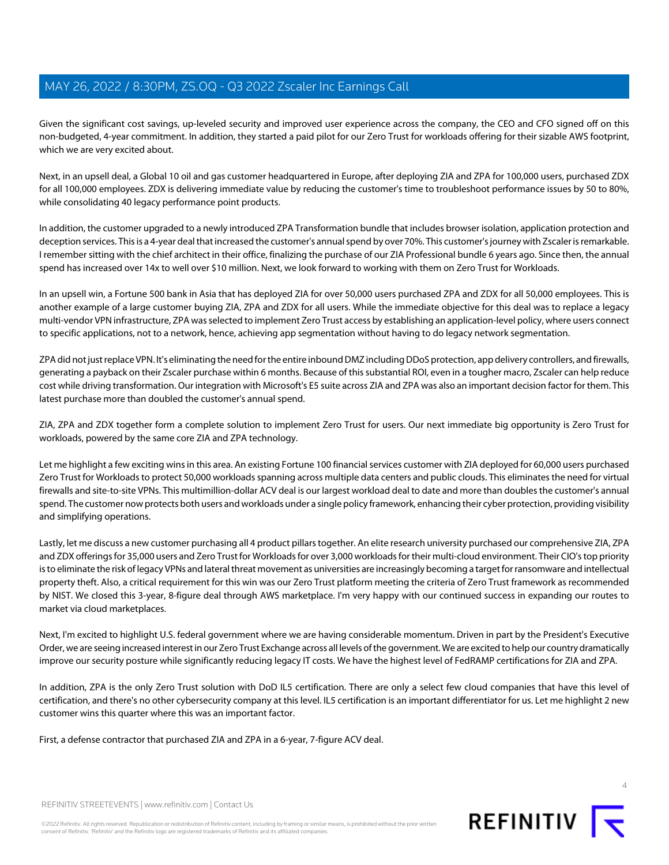Given the significant cost savings, up-leveled security and improved user experience across the company, the CEO and CFO signed off on this non-budgeted, 4-year commitment. In addition, they started a paid pilot for our Zero Trust for workloads offering for their sizable AWS footprint, which we are very excited about.

Next, in an upsell deal, a Global 10 oil and gas customer headquartered in Europe, after deploying ZIA and ZPA for 100,000 users, purchased ZDX for all 100,000 employees. ZDX is delivering immediate value by reducing the customer's time to troubleshoot performance issues by 50 to 80%, while consolidating 40 legacy performance point products.

In addition, the customer upgraded to a newly introduced ZPA Transformation bundle that includes browser isolation, application protection and deception services. This is a 4-year deal that increased the customer's annual spend by over 70%. This customer's journey with Zscaler is remarkable. I remember sitting with the chief architect in their office, finalizing the purchase of our ZIA Professional bundle 6 years ago. Since then, the annual spend has increased over 14x to well over \$10 million. Next, we look forward to working with them on Zero Trust for Workloads.

In an upsell win, a Fortune 500 bank in Asia that has deployed ZIA for over 50,000 users purchased ZPA and ZDX for all 50,000 employees. This is another example of a large customer buying ZIA, ZPA and ZDX for all users. While the immediate objective for this deal was to replace a legacy multi-vendor VPN infrastructure, ZPA was selected to implement Zero Trust access by establishing an application-level policy, where users connect to specific applications, not to a network, hence, achieving app segmentation without having to do legacy network segmentation.

ZPA did not just replace VPN. It's eliminating the need for the entire inbound DMZ including DDoS protection, app delivery controllers, and firewalls, generating a payback on their Zscaler purchase within 6 months. Because of this substantial ROI, even in a tougher macro, Zscaler can help reduce cost while driving transformation. Our integration with Microsoft's E5 suite across ZIA and ZPA was also an important decision factor for them. This latest purchase more than doubled the customer's annual spend.

ZIA, ZPA and ZDX together form a complete solution to implement Zero Trust for users. Our next immediate big opportunity is Zero Trust for workloads, powered by the same core ZIA and ZPA technology.

Let me highlight a few exciting wins in this area. An existing Fortune 100 financial services customer with ZIA deployed for 60,000 users purchased Zero Trust for Workloads to protect 50,000 workloads spanning across multiple data centers and public clouds. This eliminates the need for virtual firewalls and site-to-site VPNs. This multimillion-dollar ACV deal is our largest workload deal to date and more than doubles the customer's annual spend. The customer now protects both users and workloads under a single policy framework, enhancing their cyber protection, providing visibility and simplifying operations.

Lastly, let me discuss a new customer purchasing all 4 product pillars together. An elite research university purchased our comprehensive ZIA, ZPA and ZDX offerings for 35,000 users and Zero Trust for Workloads for over 3,000 workloads for their multi-cloud environment. Their CIO's top priority is to eliminate the risk of legacy VPNs and lateral threat movement as universities are increasingly becoming a target for ransomware and intellectual property theft. Also, a critical requirement for this win was our Zero Trust platform meeting the criteria of Zero Trust framework as recommended by NIST. We closed this 3-year, 8-figure deal through AWS marketplace. I'm very happy with our continued success in expanding our routes to market via cloud marketplaces.

Next, I'm excited to highlight U.S. federal government where we are having considerable momentum. Driven in part by the President's Executive Order, we are seeing increased interest in our Zero Trust Exchange across all levels of the government. We are excited to help our country dramatically improve our security posture while significantly reducing legacy IT costs. We have the highest level of FedRAMP certifications for ZIA and ZPA.

In addition, ZPA is the only Zero Trust solution with DoD IL5 certification. There are only a select few cloud companies that have this level of certification, and there's no other cybersecurity company at this level. IL5 certification is an important differentiator for us. Let me highlight 2 new customer wins this quarter where this was an important factor.

First, a defense contractor that purchased ZIA and ZPA in a 6-year, 7-figure ACV deal.

4

REFINITIV STREETEVENTS | [www.refinitiv.com](https://www.refinitiv.com/) | [Contact Us](https://www.refinitiv.com/en/contact-us)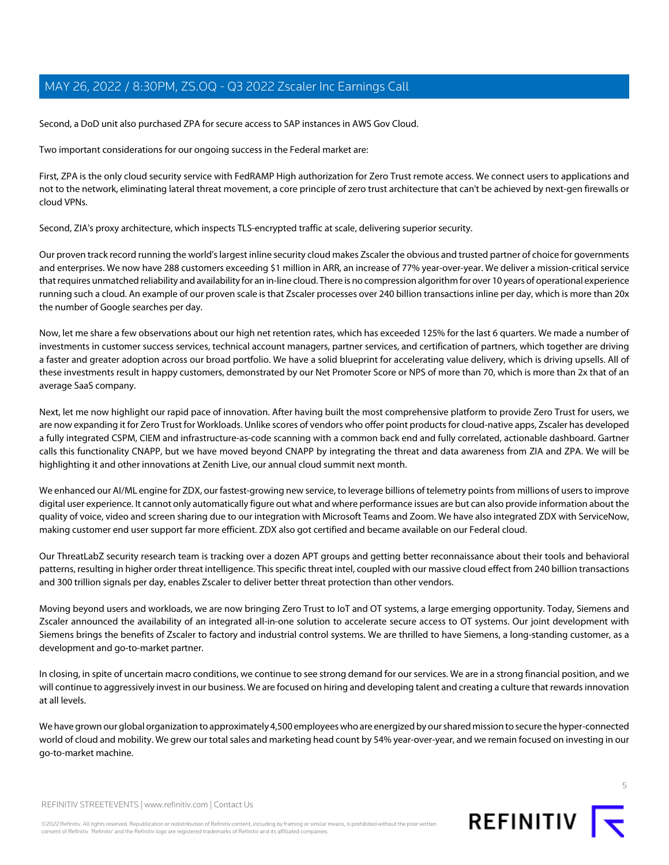Second, a DoD unit also purchased ZPA for secure access to SAP instances in AWS Gov Cloud.

Two important considerations for our ongoing success in the Federal market are:

First, ZPA is the only cloud security service with FedRAMP High authorization for Zero Trust remote access. We connect users to applications and not to the network, eliminating lateral threat movement, a core principle of zero trust architecture that can't be achieved by next-gen firewalls or cloud VPNs.

Second, ZIA's proxy architecture, which inspects TLS-encrypted traffic at scale, delivering superior security.

Our proven track record running the world's largest inline security cloud makes Zscaler the obvious and trusted partner of choice for governments and enterprises. We now have 288 customers exceeding \$1 million in ARR, an increase of 77% year-over-year. We deliver a mission-critical service that requires unmatched reliability and availability for an in-line cloud. There is no compression algorithm for over 10 years of operational experience running such a cloud. An example of our proven scale is that Zscaler processes over 240 billion transactions inline per day, which is more than 20x the number of Google searches per day.

Now, let me share a few observations about our high net retention rates, which has exceeded 125% for the last 6 quarters. We made a number of investments in customer success services, technical account managers, partner services, and certification of partners, which together are driving a faster and greater adoption across our broad portfolio. We have a solid blueprint for accelerating value delivery, which is driving upsells. All of these investments result in happy customers, demonstrated by our Net Promoter Score or NPS of more than 70, which is more than 2x that of an average SaaS company.

Next, let me now highlight our rapid pace of innovation. After having built the most comprehensive platform to provide Zero Trust for users, we are now expanding it for Zero Trust for Workloads. Unlike scores of vendors who offer point products for cloud-native apps, Zscaler has developed a fully integrated CSPM, CIEM and infrastructure-as-code scanning with a common back end and fully correlated, actionable dashboard. Gartner calls this functionality CNAPP, but we have moved beyond CNAPP by integrating the threat and data awareness from ZIA and ZPA. We will be highlighting it and other innovations at Zenith Live, our annual cloud summit next month.

We enhanced our AI/ML engine for ZDX, our fastest-growing new service, to leverage billions of telemetry points from millions of users to improve digital user experience. It cannot only automatically figure out what and where performance issues are but can also provide information about the quality of voice, video and screen sharing due to our integration with Microsoft Teams and Zoom. We have also integrated ZDX with ServiceNow, making customer end user support far more efficient. ZDX also got certified and became available on our Federal cloud.

Our ThreatLabZ security research team is tracking over a dozen APT groups and getting better reconnaissance about their tools and behavioral patterns, resulting in higher order threat intelligence. This specific threat intel, coupled with our massive cloud effect from 240 billion transactions and 300 trillion signals per day, enables Zscaler to deliver better threat protection than other vendors.

Moving beyond users and workloads, we are now bringing Zero Trust to IoT and OT systems, a large emerging opportunity. Today, Siemens and Zscaler announced the availability of an integrated all-in-one solution to accelerate secure access to OT systems. Our joint development with Siemens brings the benefits of Zscaler to factory and industrial control systems. We are thrilled to have Siemens, a long-standing customer, as a development and go-to-market partner.

In closing, in spite of uncertain macro conditions, we continue to see strong demand for our services. We are in a strong financial position, and we will continue to aggressively invest in our business. We are focused on hiring and developing talent and creating a culture that rewards innovation at all levels.

We have grown our global organization to approximately 4,500 employees who are energized by our shared mission to secure the hyper-connected world of cloud and mobility. We grew our total sales and marketing head count by 54% year-over-year, and we remain focused on investing in our go-to-market machine.

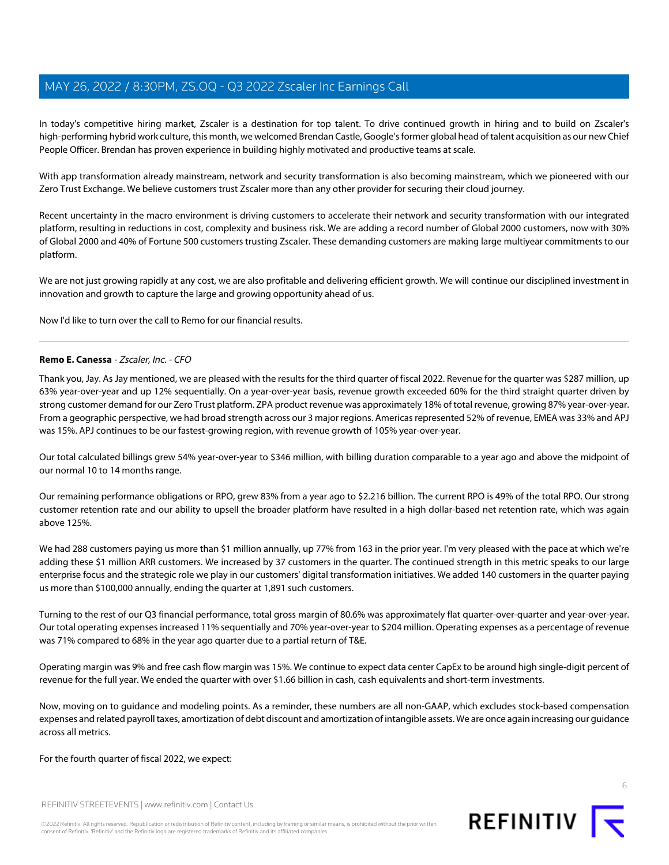In today's competitive hiring market, Zscaler is a destination for top talent. To drive continued growth in hiring and to build on Zscaler's high-performing hybrid work culture, this month, we welcomed Brendan Castle, Google's former global head of talent acquisition as our new Chief People Officer. Brendan has proven experience in building highly motivated and productive teams at scale.

With app transformation already mainstream, network and security transformation is also becoming mainstream, which we pioneered with our Zero Trust Exchange. We believe customers trust Zscaler more than any other provider for securing their cloud journey.

Recent uncertainty in the macro environment is driving customers to accelerate their network and security transformation with our integrated platform, resulting in reductions in cost, complexity and business risk. We are adding a record number of Global 2000 customers, now with 30% of Global 2000 and 40% of Fortune 500 customers trusting Zscaler. These demanding customers are making large multiyear commitments to our platform.

We are not just growing rapidly at any cost, we are also profitable and delivering efficient growth. We will continue our disciplined investment in innovation and growth to capture the large and growing opportunity ahead of us.

<span id="page-5-0"></span>Now I'd like to turn over the call to Remo for our financial results.

# **Remo E. Canessa** - Zscaler, Inc. - CFO

Thank you, Jay. As Jay mentioned, we are pleased with the results for the third quarter of fiscal 2022. Revenue for the quarter was \$287 million, up 63% year-over-year and up 12% sequentially. On a year-over-year basis, revenue growth exceeded 60% for the third straight quarter driven by strong customer demand for our Zero Trust platform. ZPA product revenue was approximately 18% of total revenue, growing 87% year-over-year. From a geographic perspective, we had broad strength across our 3 major regions. Americas represented 52% of revenue, EMEA was 33% and APJ was 15%. APJ continues to be our fastest-growing region, with revenue growth of 105% year-over-year.

Our total calculated billings grew 54% year-over-year to \$346 million, with billing duration comparable to a year ago and above the midpoint of our normal 10 to 14 months range.

Our remaining performance obligations or RPO, grew 83% from a year ago to \$2.216 billion. The current RPO is 49% of the total RPO. Our strong customer retention rate and our ability to upsell the broader platform have resulted in a high dollar-based net retention rate, which was again above 125%.

We had 288 customers paying us more than \$1 million annually, up 77% from 163 in the prior year. I'm very pleased with the pace at which we're adding these \$1 million ARR customers. We increased by 37 customers in the quarter. The continued strength in this metric speaks to our large enterprise focus and the strategic role we play in our customers' digital transformation initiatives. We added 140 customers in the quarter paying us more than \$100,000 annually, ending the quarter at 1,891 such customers.

Turning to the rest of our Q3 financial performance, total gross margin of 80.6% was approximately flat quarter-over-quarter and year-over-year. Our total operating expenses increased 11% sequentially and 70% year-over-year to \$204 million. Operating expenses as a percentage of revenue was 71% compared to 68% in the year ago quarter due to a partial return of T&E.

Operating margin was 9% and free cash flow margin was 15%. We continue to expect data center CapEx to be around high single-digit percent of revenue for the full year. We ended the quarter with over \$1.66 billion in cash, cash equivalents and short-term investments.

Now, moving on to guidance and modeling points. As a reminder, these numbers are all non-GAAP, which excludes stock-based compensation expenses and related payroll taxes, amortization of debt discount and amortization of intangible assets. We are once again increasing our guidance across all metrics.

For the fourth quarter of fiscal 2022, we expect:

REFINITIV STREETEVENTS | [www.refinitiv.com](https://www.refinitiv.com/) | [Contact Us](https://www.refinitiv.com/en/contact-us)

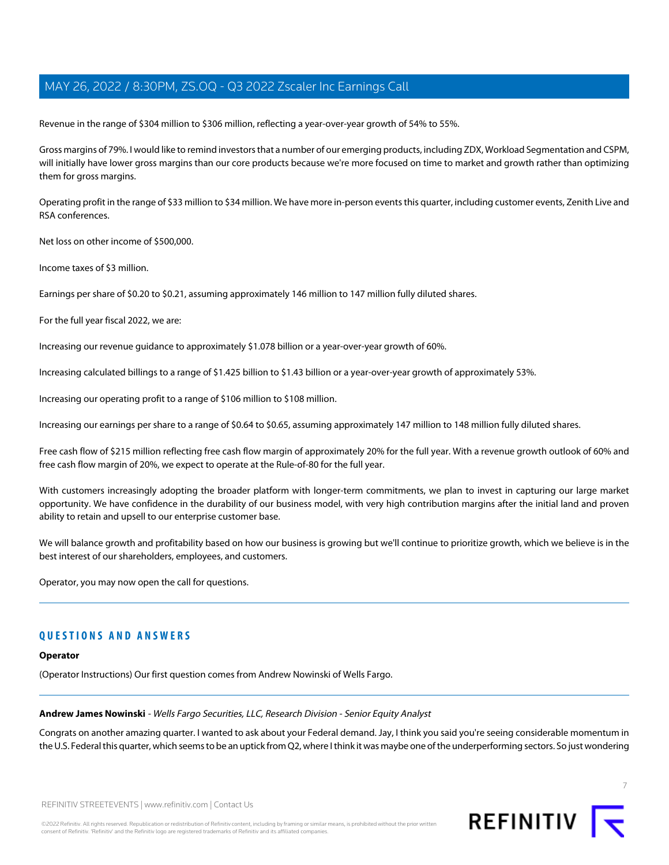Revenue in the range of \$304 million to \$306 million, reflecting a year-over-year growth of 54% to 55%.

Gross margins of 79%. I would like to remind investors that a number of our emerging products, including ZDX, Workload Segmentation and CSPM, will initially have lower gross margins than our core products because we're more focused on time to market and growth rather than optimizing them for gross margins.

Operating profit in the range of \$33 million to \$34 million. We have more in-person events this quarter, including customer events, Zenith Live and RSA conferences.

Net loss on other income of \$500,000.

Income taxes of \$3 million.

Earnings per share of \$0.20 to \$0.21, assuming approximately 146 million to 147 million fully diluted shares.

For the full year fiscal 2022, we are:

Increasing our revenue guidance to approximately \$1.078 billion or a year-over-year growth of 60%.

Increasing calculated billings to a range of \$1.425 billion to \$1.43 billion or a year-over-year growth of approximately 53%.

Increasing our operating profit to a range of \$106 million to \$108 million.

Increasing our earnings per share to a range of \$0.64 to \$0.65, assuming approximately 147 million to 148 million fully diluted shares.

Free cash flow of \$215 million reflecting free cash flow margin of approximately 20% for the full year. With a revenue growth outlook of 60% and free cash flow margin of 20%, we expect to operate at the Rule-of-80 for the full year.

With customers increasingly adopting the broader platform with longer-term commitments, we plan to invest in capturing our large market opportunity. We have confidence in the durability of our business model, with very high contribution margins after the initial land and proven ability to retain and upsell to our enterprise customer base.

We will balance growth and profitability based on how our business is growing but we'll continue to prioritize growth, which we believe is in the best interest of our shareholders, employees, and customers.

Operator, you may now open the call for questions.

# <span id="page-6-0"></span>**QUESTIONS AND ANSWERS**

#### **Operator**

(Operator Instructions) Our first question comes from Andrew Nowinski of Wells Fargo.

### **Andrew James Nowinski** - Wells Fargo Securities, LLC, Research Division - Senior Equity Analyst

Congrats on another amazing quarter. I wanted to ask about your Federal demand. Jay, I think you said you're seeing considerable momentum in the U.S. Federal this quarter, which seems to be an uptick from Q2, where I think it was maybe one of the underperforming sectors. So just wondering





7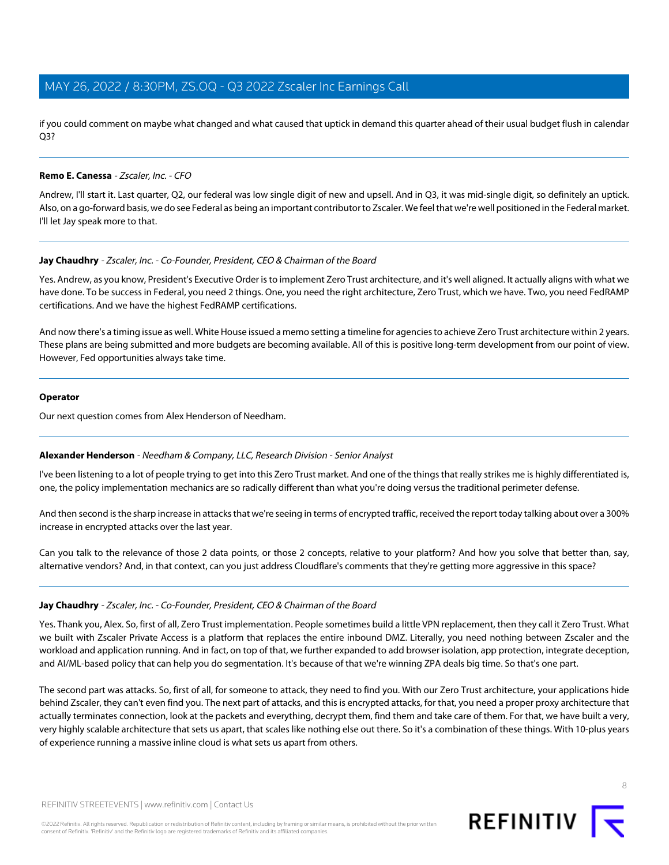if you could comment on maybe what changed and what caused that uptick in demand this quarter ahead of their usual budget flush in calendar Q3?

# **Remo E. Canessa** - Zscaler, Inc. - CFO

Andrew, I'll start it. Last quarter, Q2, our federal was low single digit of new and upsell. And in Q3, it was mid-single digit, so definitely an uptick. Also, on a go-forward basis, we do see Federal as being an important contributor to Zscaler. We feel that we're well positioned in the Federal market. I'll let Jay speak more to that.

#### **Jay Chaudhry** - Zscaler, Inc. - Co-Founder, President, CEO & Chairman of the Board

Yes. Andrew, as you know, President's Executive Order is to implement Zero Trust architecture, and it's well aligned. It actually aligns with what we have done. To be success in Federal, you need 2 things. One, you need the right architecture, Zero Trust, which we have. Two, you need FedRAMP certifications. And we have the highest FedRAMP certifications.

And now there's a timing issue as well. White House issued a memo setting a timeline for agencies to achieve Zero Trust architecture within 2 years. These plans are being submitted and more budgets are becoming available. All of this is positive long-term development from our point of view. However, Fed opportunities always take time.

#### **Operator**

<span id="page-7-0"></span>Our next question comes from Alex Henderson of Needham.

# **Alexander Henderson** - Needham & Company, LLC, Research Division - Senior Analyst

I've been listening to a lot of people trying to get into this Zero Trust market. And one of the things that really strikes me is highly differentiated is, one, the policy implementation mechanics are so radically different than what you're doing versus the traditional perimeter defense.

And then second is the sharp increase in attacks that we're seeing in terms of encrypted traffic, received the report today talking about over a 300% increase in encrypted attacks over the last year.

Can you talk to the relevance of those 2 data points, or those 2 concepts, relative to your platform? And how you solve that better than, say, alternative vendors? And, in that context, can you just address Cloudflare's comments that they're getting more aggressive in this space?

#### **Jay Chaudhry** - Zscaler, Inc. - Co-Founder, President, CEO & Chairman of the Board

Yes. Thank you, Alex. So, first of all, Zero Trust implementation. People sometimes build a little VPN replacement, then they call it Zero Trust. What we built with Zscaler Private Access is a platform that replaces the entire inbound DMZ. Literally, you need nothing between Zscaler and the workload and application running. And in fact, on top of that, we further expanded to add browser isolation, app protection, integrate deception, and AI/ML-based policy that can help you do segmentation. It's because of that we're winning ZPA deals big time. So that's one part.

The second part was attacks. So, first of all, for someone to attack, they need to find you. With our Zero Trust architecture, your applications hide behind Zscaler, they can't even find you. The next part of attacks, and this is encrypted attacks, for that, you need a proper proxy architecture that actually terminates connection, look at the packets and everything, decrypt them, find them and take care of them. For that, we have built a very, very highly scalable architecture that sets us apart, that scales like nothing else out there. So it's a combination of these things. With 10-plus years of experience running a massive inline cloud is what sets us apart from others.

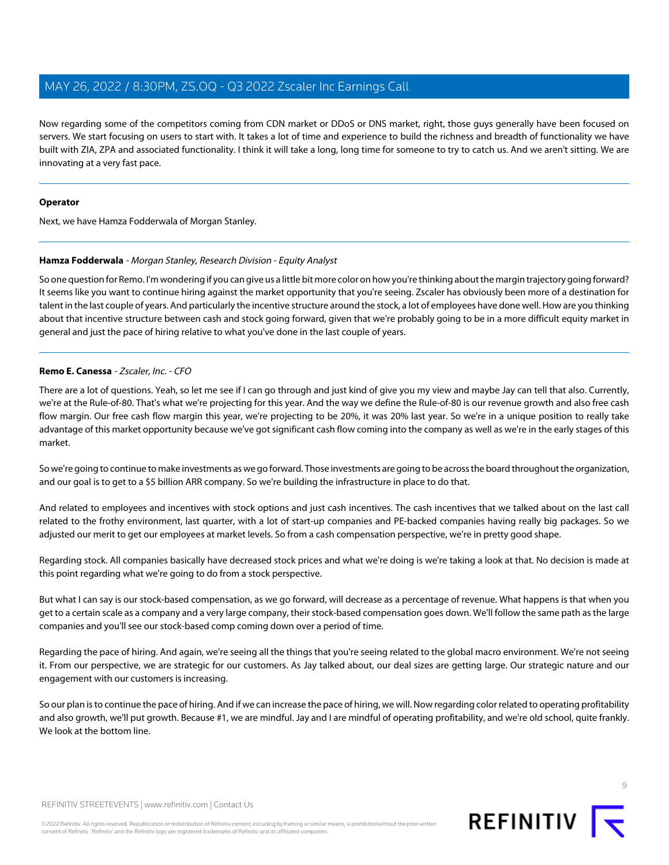Now regarding some of the competitors coming from CDN market or DDoS or DNS market, right, those guys generally have been focused on servers. We start focusing on users to start with. It takes a lot of time and experience to build the richness and breadth of functionality we have built with ZIA, ZPA and associated functionality. I think it will take a long, long time for someone to try to catch us. And we aren't sitting. We are innovating at a very fast pace.

# **Operator**

<span id="page-8-0"></span>Next, we have Hamza Fodderwala of Morgan Stanley.

# **Hamza Fodderwala** - Morgan Stanley, Research Division - Equity Analyst

So one question for Remo. I'm wondering if you can give us a little bit more color on how you're thinking about the margin trajectory going forward? It seems like you want to continue hiring against the market opportunity that you're seeing. Zscaler has obviously been more of a destination for talent in the last couple of years. And particularly the incentive structure around the stock, a lot of employees have done well. How are you thinking about that incentive structure between cash and stock going forward, given that we're probably going to be in a more difficult equity market in general and just the pace of hiring relative to what you've done in the last couple of years.

# **Remo E. Canessa** - Zscaler, Inc. - CFO

There are a lot of questions. Yeah, so let me see if I can go through and just kind of give you my view and maybe Jay can tell that also. Currently, we're at the Rule-of-80. That's what we're projecting for this year. And the way we define the Rule-of-80 is our revenue growth and also free cash flow margin. Our free cash flow margin this year, we're projecting to be 20%, it was 20% last year. So we're in a unique position to really take advantage of this market opportunity because we've got significant cash flow coming into the company as well as we're in the early stages of this market.

So we're going to continue to make investments as we go forward. Those investments are going to be across the board throughout the organization, and our goal is to get to a \$5 billion ARR company. So we're building the infrastructure in place to do that.

And related to employees and incentives with stock options and just cash incentives. The cash incentives that we talked about on the last call related to the frothy environment, last quarter, with a lot of start-up companies and PE-backed companies having really big packages. So we adjusted our merit to get our employees at market levels. So from a cash compensation perspective, we're in pretty good shape.

Regarding stock. All companies basically have decreased stock prices and what we're doing is we're taking a look at that. No decision is made at this point regarding what we're going to do from a stock perspective.

But what I can say is our stock-based compensation, as we go forward, will decrease as a percentage of revenue. What happens is that when you get to a certain scale as a company and a very large company, their stock-based compensation goes down. We'll follow the same path as the large companies and you'll see our stock-based comp coming down over a period of time.

Regarding the pace of hiring. And again, we're seeing all the things that you're seeing related to the global macro environment. We're not seeing it. From our perspective, we are strategic for our customers. As Jay talked about, our deal sizes are getting large. Our strategic nature and our engagement with our customers is increasing.

So our plan is to continue the pace of hiring. And if we can increase the pace of hiring, we will. Now regarding color related to operating profitability and also growth, we'll put growth. Because #1, we are mindful. Jay and I are mindful of operating profitability, and we're old school, quite frankly. We look at the bottom line.

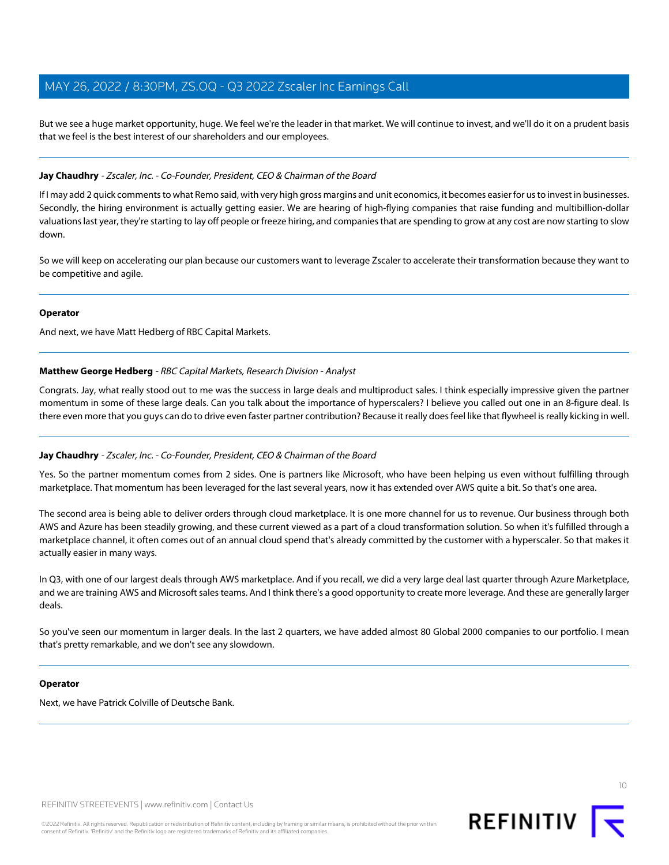But we see a huge market opportunity, huge. We feel we're the leader in that market. We will continue to invest, and we'll do it on a prudent basis that we feel is the best interest of our shareholders and our employees.

#### **Jay Chaudhry** - Zscaler, Inc. - Co-Founder, President, CEO & Chairman of the Board

If I may add 2 quick comments to what Remo said, with very high gross margins and unit economics, it becomes easier for us to invest in businesses. Secondly, the hiring environment is actually getting easier. We are hearing of high-flying companies that raise funding and multibillion-dollar valuations last year, they're starting to lay off people or freeze hiring, and companies that are spending to grow at any cost are now starting to slow down.

So we will keep on accelerating our plan because our customers want to leverage Zscaler to accelerate their transformation because they want to be competitive and agile.

#### **Operator**

<span id="page-9-0"></span>And next, we have Matt Hedberg of RBC Capital Markets.

#### **Matthew George Hedberg** - RBC Capital Markets, Research Division - Analyst

Congrats. Jay, what really stood out to me was the success in large deals and multiproduct sales. I think especially impressive given the partner momentum in some of these large deals. Can you talk about the importance of hyperscalers? I believe you called out one in an 8-figure deal. Is there even more that you guys can do to drive even faster partner contribution? Because it really does feel like that flywheel is really kicking in well.

#### **Jay Chaudhry** - Zscaler, Inc. - Co-Founder, President, CEO & Chairman of the Board

Yes. So the partner momentum comes from 2 sides. One is partners like Microsoft, who have been helping us even without fulfilling through marketplace. That momentum has been leveraged for the last several years, now it has extended over AWS quite a bit. So that's one area.

The second area is being able to deliver orders through cloud marketplace. It is one more channel for us to revenue. Our business through both AWS and Azure has been steadily growing, and these current viewed as a part of a cloud transformation solution. So when it's fulfilled through a marketplace channel, it often comes out of an annual cloud spend that's already committed by the customer with a hyperscaler. So that makes it actually easier in many ways.

In Q3, with one of our largest deals through AWS marketplace. And if you recall, we did a very large deal last quarter through Azure Marketplace, and we are training AWS and Microsoft sales teams. And I think there's a good opportunity to create more leverage. And these are generally larger deals.

So you've seen our momentum in larger deals. In the last 2 quarters, we have added almost 80 Global 2000 companies to our portfolio. I mean that's pretty remarkable, and we don't see any slowdown.

#### **Operator**

Next, we have Patrick Colville of Deutsche Bank.



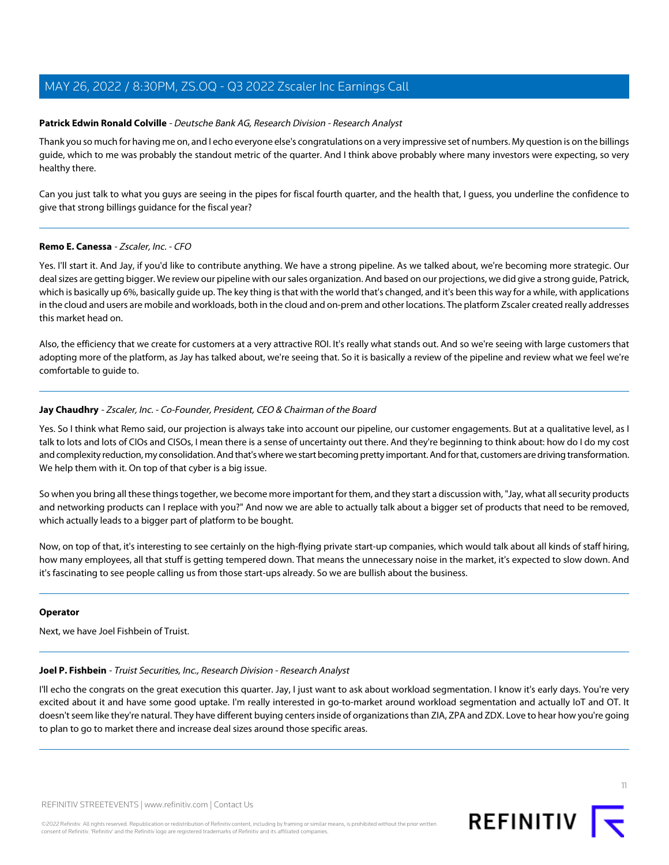# <span id="page-10-1"></span>**Patrick Edwin Ronald Colville** - Deutsche Bank AG, Research Division - Research Analyst

Thank you so much for having me on, and I echo everyone else's congratulations on a very impressive set of numbers. My question is on the billings guide, which to me was probably the standout metric of the quarter. And I think above probably where many investors were expecting, so very healthy there.

Can you just talk to what you guys are seeing in the pipes for fiscal fourth quarter, and the health that, I guess, you underline the confidence to give that strong billings guidance for the fiscal year?

#### **Remo E. Canessa** - Zscaler, Inc. - CFO

Yes. I'll start it. And Jay, if you'd like to contribute anything. We have a strong pipeline. As we talked about, we're becoming more strategic. Our deal sizes are getting bigger. We review our pipeline with our sales organization. And based on our projections, we did give a strong guide, Patrick, which is basically up 6%, basically guide up. The key thing is that with the world that's changed, and it's been this way for a while, with applications in the cloud and users are mobile and workloads, both in the cloud and on-prem and other locations. The platform Zscaler created really addresses this market head on.

Also, the efficiency that we create for customers at a very attractive ROI. It's really what stands out. And so we're seeing with large customers that adopting more of the platform, as Jay has talked about, we're seeing that. So it is basically a review of the pipeline and review what we feel we're comfortable to guide to.

# **Jay Chaudhry** - Zscaler, Inc. - Co-Founder, President, CEO & Chairman of the Board

Yes. So I think what Remo said, our projection is always take into account our pipeline, our customer engagements. But at a qualitative level, as I talk to lots and lots of CIOs and CISOs, I mean there is a sense of uncertainty out there. And they're beginning to think about: how do I do my cost and complexity reduction, my consolidation. And that's where we start becoming pretty important. And for that, customers are driving transformation. We help them with it. On top of that cyber is a big issue.

So when you bring all these things together, we become more important for them, and they start a discussion with, "Jay, what all security products and networking products can I replace with you?" And now we are able to actually talk about a bigger set of products that need to be removed, which actually leads to a bigger part of platform to be bought.

Now, on top of that, it's interesting to see certainly on the high-flying private start-up companies, which would talk about all kinds of staff hiring, how many employees, all that stuff is getting tempered down. That means the unnecessary noise in the market, it's expected to slow down. And it's fascinating to see people calling us from those start-ups already. So we are bullish about the business.

#### <span id="page-10-0"></span>**Operator**

Next, we have Joel Fishbein of Truist.

#### **Joel P. Fishbein** - Truist Securities, Inc., Research Division - Research Analyst

I'll echo the congrats on the great execution this quarter. Jay, I just want to ask about workload segmentation. I know it's early days. You're very excited about it and have some good uptake. I'm really interested in go-to-market around workload segmentation and actually IoT and OT. It doesn't seem like they're natural. They have different buying centers inside of organizations than ZIA, ZPA and ZDX. Love to hear how you're going to plan to go to market there and increase deal sizes around those specific areas.

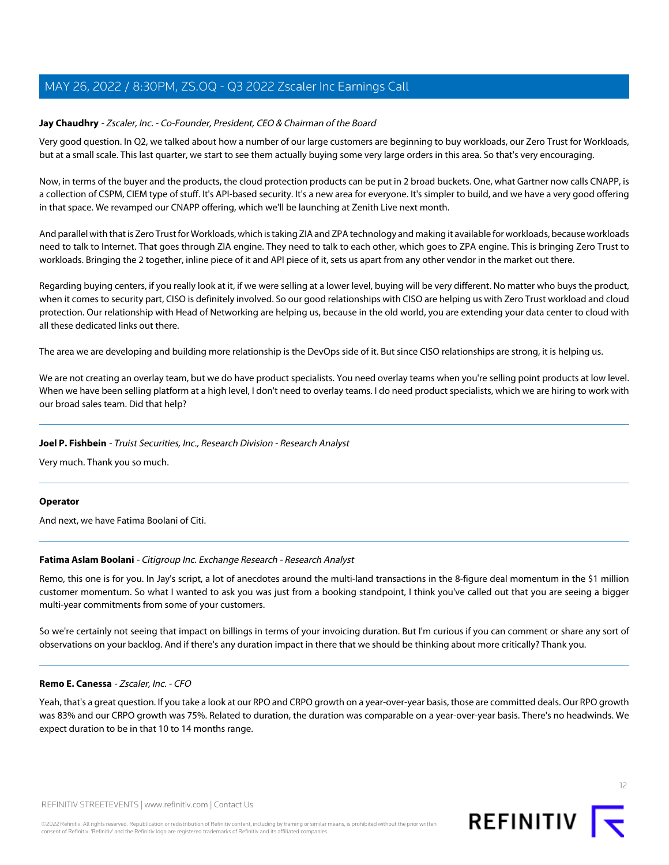# **Jay Chaudhry** - Zscaler, Inc. - Co-Founder, President, CEO & Chairman of the Board

Very good question. In Q2, we talked about how a number of our large customers are beginning to buy workloads, our Zero Trust for Workloads, but at a small scale. This last quarter, we start to see them actually buying some very large orders in this area. So that's very encouraging.

Now, in terms of the buyer and the products, the cloud protection products can be put in 2 broad buckets. One, what Gartner now calls CNAPP, is a collection of CSPM, CIEM type of stuff. It's API-based security. It's a new area for everyone. It's simpler to build, and we have a very good offering in that space. We revamped our CNAPP offering, which we'll be launching at Zenith Live next month.

And parallel with that is Zero Trust for Workloads, which is taking ZIA and ZPA technology and making it available for workloads, because workloads need to talk to Internet. That goes through ZIA engine. They need to talk to each other, which goes to ZPA engine. This is bringing Zero Trust to workloads. Bringing the 2 together, inline piece of it and API piece of it, sets us apart from any other vendor in the market out there.

Regarding buying centers, if you really look at it, if we were selling at a lower level, buying will be very different. No matter who buys the product, when it comes to security part, CISO is definitely involved. So our good relationships with CISO are helping us with Zero Trust workload and cloud protection. Our relationship with Head of Networking are helping us, because in the old world, you are extending your data center to cloud with all these dedicated links out there.

The area we are developing and building more relationship is the DevOps side of it. But since CISO relationships are strong, it is helping us.

We are not creating an overlay team, but we do have product specialists. You need overlay teams when you're selling point products at low level. When we have been selling platform at a high level, I don't need to overlay teams. I do need product specialists, which we are hiring to work with our broad sales team. Did that help?

# **Joel P. Fishbein** - Truist Securities, Inc., Research Division - Research Analyst

Very much. Thank you so much.

# <span id="page-11-0"></span>**Operator**

And next, we have Fatima Boolani of Citi.

# **Fatima Aslam Boolani** - Citigroup Inc. Exchange Research - Research Analyst

Remo, this one is for you. In Jay's script, a lot of anecdotes around the multi-land transactions in the 8-figure deal momentum in the \$1 million customer momentum. So what I wanted to ask you was just from a booking standpoint, I think you've called out that you are seeing a bigger multi-year commitments from some of your customers.

So we're certainly not seeing that impact on billings in terms of your invoicing duration. But I'm curious if you can comment or share any sort of observations on your backlog. And if there's any duration impact in there that we should be thinking about more critically? Thank you.

# **Remo E. Canessa** - Zscaler, Inc. - CFO

Yeah, that's a great question. If you take a look at our RPO and CRPO growth on a year-over-year basis, those are committed deals. Our RPO growth was 83% and our CRPO growth was 75%. Related to duration, the duration was comparable on a year-over-year basis. There's no headwinds. We expect duration to be in that 10 to 14 months range.

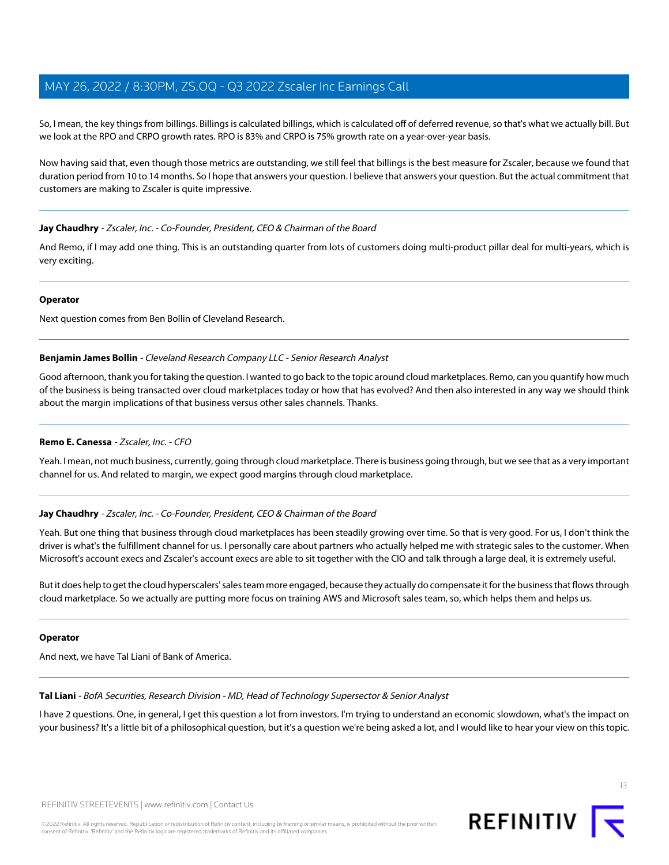So, I mean, the key things from billings. Billings is calculated billings, which is calculated off of deferred revenue, so that's what we actually bill. But we look at the RPO and CRPO growth rates. RPO is 83% and CRPO is 75% growth rate on a year-over-year basis.

Now having said that, even though those metrics are outstanding, we still feel that billings is the best measure for Zscaler, because we found that duration period from 10 to 14 months. So I hope that answers your question. I believe that answers your question. But the actual commitment that customers are making to Zscaler is quite impressive.

# **Jay Chaudhry** - Zscaler, Inc. - Co-Founder, President, CEO & Chairman of the Board

And Remo, if I may add one thing. This is an outstanding quarter from lots of customers doing multi-product pillar deal for multi-years, which is very exciting.

#### **Operator**

<span id="page-12-0"></span>Next question comes from Ben Bollin of Cleveland Research.

# **Benjamin James Bollin** - Cleveland Research Company LLC - Senior Research Analyst

Good afternoon, thank you for taking the question. I wanted to go back to the topic around cloud marketplaces. Remo, can you quantify how much of the business is being transacted over cloud marketplaces today or how that has evolved? And then also interested in any way we should think about the margin implications of that business versus other sales channels. Thanks.

# **Remo E. Canessa** - Zscaler, Inc. - CFO

Yeah. I mean, not much business, currently, going through cloud marketplace. There is business going through, but we see that as a very important channel for us. And related to margin, we expect good margins through cloud marketplace.

# **Jay Chaudhry** - Zscaler, Inc. - Co-Founder, President, CEO & Chairman of the Board

Yeah. But one thing that business through cloud marketplaces has been steadily growing over time. So that is very good. For us, I don't think the driver is what's the fulfillment channel for us. I personally care about partners who actually helped me with strategic sales to the customer. When Microsoft's account execs and Zscaler's account execs are able to sit together with the CIO and talk through a large deal, it is extremely useful.

But it does help to get the cloud hyperscalers' sales team more engaged, because they actually do compensate it for the business that flows through cloud marketplace. So we actually are putting more focus on training AWS and Microsoft sales team, so, which helps them and helps us.

#### <span id="page-12-1"></span>**Operator**

And next, we have Tal Liani of Bank of America.

# **Tal Liani** - BofA Securities, Research Division - MD, Head of Technology Supersector & Senior Analyst

I have 2 questions. One, in general, I get this question a lot from investors. I'm trying to understand an economic slowdown, what's the impact on your business? It's a little bit of a philosophical question, but it's a question we're being asked a lot, and I would like to hear your view on this topic.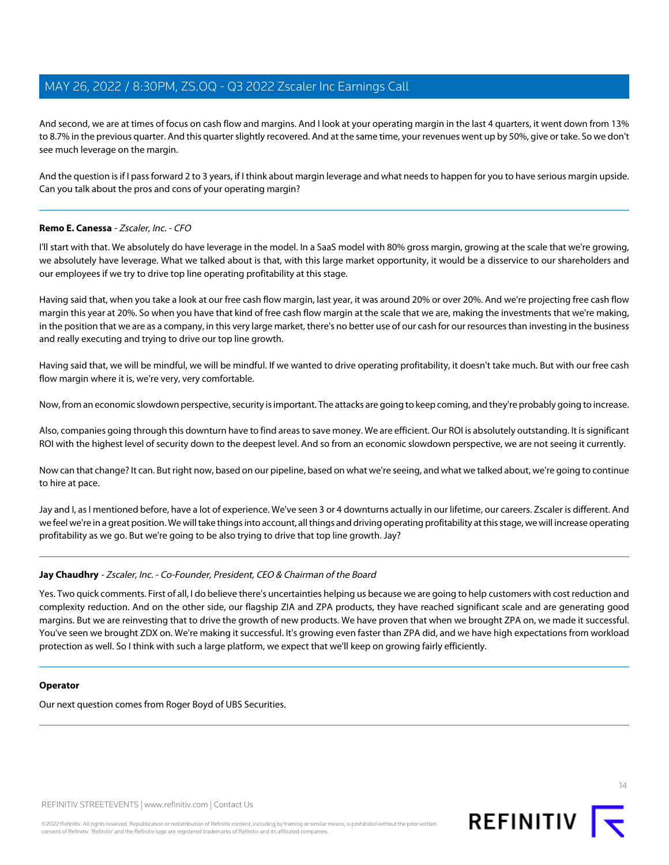And second, we are at times of focus on cash flow and margins. And I look at your operating margin in the last 4 quarters, it went down from 13% to 8.7% in the previous quarter. And this quarter slightly recovered. And at the same time, your revenues went up by 50%, give or take. So we don't see much leverage on the margin.

And the question is if I pass forward 2 to 3 years, if I think about margin leverage and what needs to happen for you to have serious margin upside. Can you talk about the pros and cons of your operating margin?

# **Remo E. Canessa** - Zscaler, Inc. - CFO

I'll start with that. We absolutely do have leverage in the model. In a SaaS model with 80% gross margin, growing at the scale that we're growing, we absolutely have leverage. What we talked about is that, with this large market opportunity, it would be a disservice to our shareholders and our employees if we try to drive top line operating profitability at this stage.

Having said that, when you take a look at our free cash flow margin, last year, it was around 20% or over 20%. And we're projecting free cash flow margin this year at 20%. So when you have that kind of free cash flow margin at the scale that we are, making the investments that we're making, in the position that we are as a company, in this very large market, there's no better use of our cash for our resources than investing in the business and really executing and trying to drive our top line growth.

Having said that, we will be mindful, we will be mindful. If we wanted to drive operating profitability, it doesn't take much. But with our free cash flow margin where it is, we're very, very comfortable.

Now, from an economic slowdown perspective, security is important. The attacks are going to keep coming, and they're probably going to increase.

Also, companies going through this downturn have to find areas to save money. We are efficient. Our ROI is absolutely outstanding. It is significant ROI with the highest level of security down to the deepest level. And so from an economic slowdown perspective, we are not seeing it currently.

Now can that change? It can. But right now, based on our pipeline, based on what we're seeing, and what we talked about, we're going to continue to hire at pace.

Jay and I, as I mentioned before, have a lot of experience. We've seen 3 or 4 downturns actually in our lifetime, our careers. Zscaler is different. And we feel we're in a great position. We will take things into account, all things and driving operating profitability at this stage, we will increase operating profitability as we go. But we're going to be also trying to drive that top line growth. Jay?

# **Jay Chaudhry** - Zscaler, Inc. - Co-Founder, President, CEO & Chairman of the Board

Yes. Two quick comments. First of all, I do believe there's uncertainties helping us because we are going to help customers with cost reduction and complexity reduction. And on the other side, our flagship ZIA and ZPA products, they have reached significant scale and are generating good margins. But we are reinvesting that to drive the growth of new products. We have proven that when we brought ZPA on, we made it successful. You've seen we brought ZDX on. We're making it successful. It's growing even faster than ZPA did, and we have high expectations from workload protection as well. So I think with such a large platform, we expect that we'll keep on growing fairly efficiently.

#### **Operator**

Our next question comes from Roger Boyd of UBS Securities.

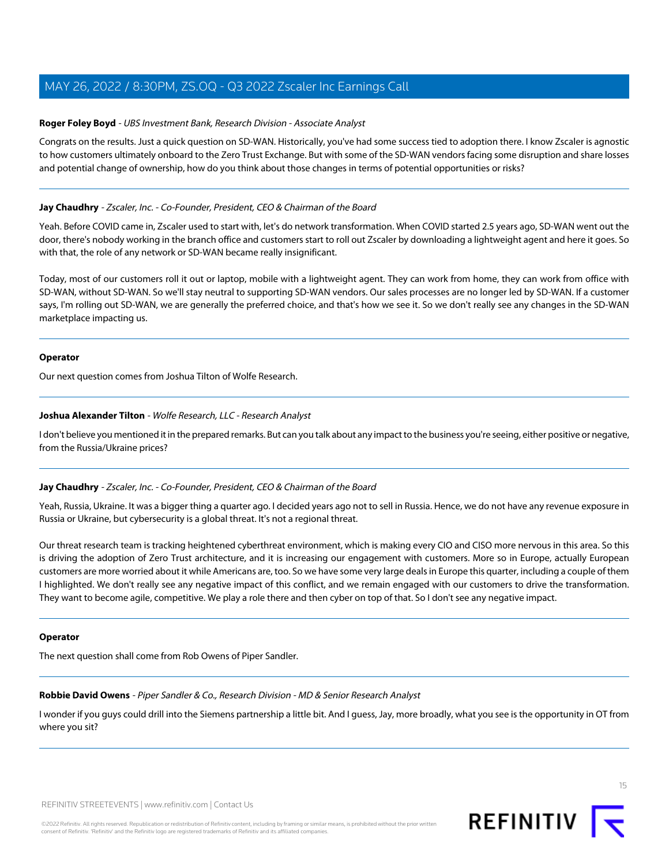# <span id="page-14-2"></span>**Roger Foley Boyd** - UBS Investment Bank, Research Division - Associate Analyst

Congrats on the results. Just a quick question on SD-WAN. Historically, you've had some success tied to adoption there. I know Zscaler is agnostic to how customers ultimately onboard to the Zero Trust Exchange. But with some of the SD-WAN vendors facing some disruption and share losses and potential change of ownership, how do you think about those changes in terms of potential opportunities or risks?

# **Jay Chaudhry** - Zscaler, Inc. - Co-Founder, President, CEO & Chairman of the Board

Yeah. Before COVID came in, Zscaler used to start with, let's do network transformation. When COVID started 2.5 years ago, SD-WAN went out the door, there's nobody working in the branch office and customers start to roll out Zscaler by downloading a lightweight agent and here it goes. So with that, the role of any network or SD-WAN became really insignificant.

Today, most of our customers roll it out or laptop, mobile with a lightweight agent. They can work from home, they can work from office with SD-WAN, without SD-WAN. So we'll stay neutral to supporting SD-WAN vendors. Our sales processes are no longer led by SD-WAN. If a customer says, I'm rolling out SD-WAN, we are generally the preferred choice, and that's how we see it. So we don't really see any changes in the SD-WAN marketplace impacting us.

#### **Operator**

<span id="page-14-0"></span>Our next question comes from Joshua Tilton of Wolfe Research.

#### **Joshua Alexander Tilton** - Wolfe Research, LLC - Research Analyst

I don't believe you mentioned it in the prepared remarks. But can you talk about any impact to the business you're seeing, either positive or negative, from the Russia/Ukraine prices?

# **Jay Chaudhry** - Zscaler, Inc. - Co-Founder, President, CEO & Chairman of the Board

Yeah, Russia, Ukraine. It was a bigger thing a quarter ago. I decided years ago not to sell in Russia. Hence, we do not have any revenue exposure in Russia or Ukraine, but cybersecurity is a global threat. It's not a regional threat.

Our threat research team is tracking heightened cyberthreat environment, which is making every CIO and CISO more nervous in this area. So this is driving the adoption of Zero Trust architecture, and it is increasing our engagement with customers. More so in Europe, actually European customers are more worried about it while Americans are, too. So we have some very large deals in Europe this quarter, including a couple of them I highlighted. We don't really see any negative impact of this conflict, and we remain engaged with our customers to drive the transformation. They want to become agile, competitive. We play a role there and then cyber on top of that. So I don't see any negative impact.

#### <span id="page-14-1"></span>**Operator**

The next question shall come from Rob Owens of Piper Sandler.

# **Robbie David Owens** - Piper Sandler & Co., Research Division - MD & Senior Research Analyst

I wonder if you guys could drill into the Siemens partnership a little bit. And I guess, Jay, more broadly, what you see is the opportunity in OT from where you sit?